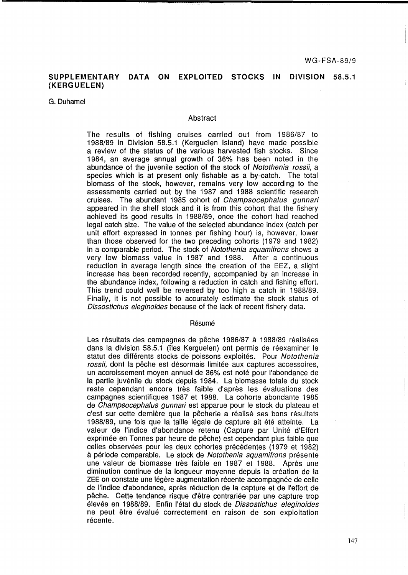# **SUPPLEMENTARY DATA ON EXPLOITED STOCKS IN DIVISION** 58.5.1 **(KERGUELEN)**

G. Duhamel

#### **Abstract**

The results of fishing cruises carried out from 1986/87 to 1988/89 in Division 58.5.1 (Kerguelen Island) have made possible a review of the status of the various harvested fish stocks. Since 1984, an average annual growth of 36% has been noted in the abundance of the juvenile section of the stock of Notothenia rossii, a species which is at present only fishable as a by-catch. The total biomass of the stock, however, remains very low according to the assessments carried out by the 1987 and 1988 scientific research cruises. The abundant 1985 cohort of Champsocephalus gunnari appeared in the shelf stock and it is from this cohort that the fishery achieved its good results in 1988/89, once the cohort had reached legal catch size. The value of the selected abundance index (catch per unit effort expressed in tonnes per fishing hour) is, however, lower than those observed for the two preceding cohorts (1979 and 1982) in a comparable period. The stock of Notothenia squamifrons shows a very low biomass value in 1987 and 1988. After a continuous reduction in average length since the creation of the EEZ, a slight increase has been recorded recently, accompanied by an increase in the abundance index, following a reduction in catch and fishing effort. This trend could well be reversed by too high a catch in 1988/89. Finally, it is not possible to accurately estimate the stock status of Dissostichus eleginoides because of the lack of recent fishery data.

#### Résumé

Les résultats des campagnes de pêche 1986/87 à 1988/89 réalisées dans la division 58.5.1 (îles Kerguelen) ont permis de réexaminer le statut des différents stocks de poissons exploités. Pour Notothenia rossii, dont la pêche est désormais limitée aux captures accessoires, un accroissement moyen annuel de 36% est note pour I'abondance de la partie juvenile du stock depuis 1984. La biomasse totale du stock reste cependant encore très faible d'après les évaluations des campagnes scientifiques 1987 et 1988. La cohorte abondante 1985 de Champsocephalus gunnari est apparue pour le stock du plateau et c'est sur cette dernière que la pêcherie a réalisé ses bons résultats 1988/89, une fois que la taille légale de capture ait été atteinte. La valeur de l'indice d'abondance retenu (Capture par Unité d'Effort exprimée en Tonnes par heure de pêche) est cependant plus faible que celles observées pour les deux cohortes précédentes (1979 et 1982) à période comparable. Le stock de Notothenia squamifrons présente une valeur de biomasse très faible en 1987 et 1988. Après une diminution continue de la longueur moyenne depuis la creation de la ZEE on constate une légère augmentation récente accompagnée de celle de I'indice d'abondance, apres reduction de la capture et de I'effort de pêche. Cette tendance risque d'être contrariée par une capture trop élevée en 1988/89. Enfin l'état du stock de Dissostichus eleginoides ne peut être évalué correctement en raison de son exploitation récente.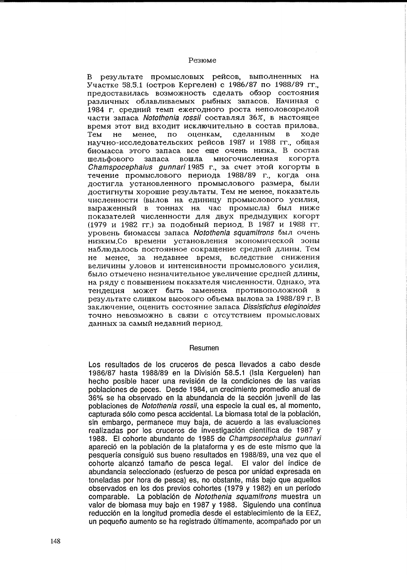#### Резюме

В результате промысловых рейсов, выполненных на Участке 58.5.1 (остров Кергелен) с 1986/87 по 1988/89 гг., предоставилась возможность сделать обзор состояния различных облавливаемых рыбных запасов. Начиная с 1984 г. средний темп ежегодного роста неполовозрелой части запаса Notothenia rossii составлял 36%, в настоящее время этот вид входит исключительно в состав прилова. менее. оценкам. сделанным  $\mathbf{B}$ ходе Тем  $He$  $\overline{ }$ научно-исследовательских рейсов 1987 и 1988 гг., общая биомасса этого запаса все еще очень низка. В состав вошла многочисленная когорта шельфового запаса Chamspocephalus gunnari 1985 г., за счет этой когорты в течение промыслового периода 1988/89 г., когда она достигла установленного промыслового размера, были достигнуты хорошие результаты. Тем не менее, показатель численности (вылов на единицу промыслового усилия, выраженный в тоннах на час промысла) был ниже показателей численности для двух предыдущих когорт (1979 и 1982 гг.) за подобный период. В 1987 и 1988 гг. уровень биомассы запаса Notothenia squamifrons был очень низким.Со времени установления экономической зоны наблюдалось постоянное сокращение средней длины. Тем менее, за недавнее время, вследствие снижения  $He$ величины уловов и интенсивности промыслового усилия, было отмечено незначительное увеличение средней длины. на ряду с повышением показателя численности. Однако, эта тендеция может быть заменена противоположной в результате слишком высокого объема вылова за 1988/89 г. В заключение, оценить состояние запаса Dissistichus eleginoides точно невозможно в связи с отсутствием промысловых данных за самый недавний период.

#### Resumen

Los resultados de los cruceros de pesca llevados a cabo desde 1986/87 hasta 1988/89 en la División 58.5.1 (Isla Kerguelen) han hecho posible hacer una revisión de la condiciones de las varias poblaciones de peces. Desde 1984, un crecimiento promedio anual de 36% se ha observado en la abundancia de la sección juvenil de las poblaciones de Notothenia rossii, una especie la cual es, al momento, capturada sólo como pesca accidental. La biomasa total de la población, sin embargo, permanece muy baja, de acuerdo a las evaluaciones realizadas por los cruceros de investigación científica de 1987 y 1988. El cohorte abundante de 1985 de Champsocephalus gunnari apareció en la población de la plataforma y es de este mismo que la pesquería consiguió sus bueno resultados en 1988/89, una vez que el cohorte alcanzó tamaño de pesca legal. El valor del índice de abundancia seleccionado (esfuerzo de pesca por unidad expresada en toneladas por hora de pesca) es, no obstante, más bajo que aquellos observados en los dos previos cohortes (1979 y 1982) en un período comparable. La población de Notothenia squamifrons muestra un valor de biomasa muy bajo en 1987 y 1988. Siguiendo una continua reducción en la longitud promedia desde el establecimiento de la EEZ, un pequeño aumento se ha registrado últimamente, acompañado por un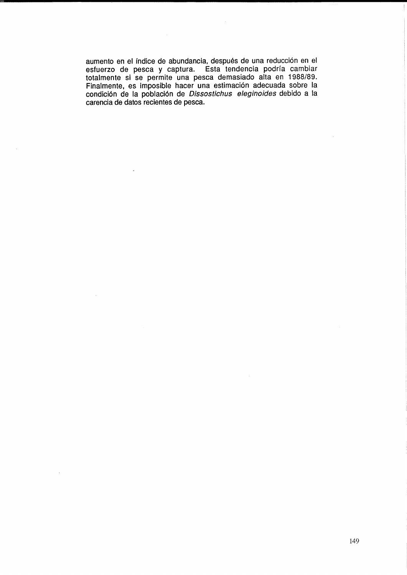aumento en el índice de abundancia, después de una reducción en el esfuerzo de pesca y captura. Esta tendencia podrfa cambiar totalmente si se permite una pesca demasiado alta en 1988/89. Finalmente, es imposible hacer una estimación adecuada sobre la condición de la población de Dissostichus eleginoides debido a la carencia de datos recientes de pesca.

 $\bar{\gamma}$ 

 $\hat{\boldsymbol{\beta}}$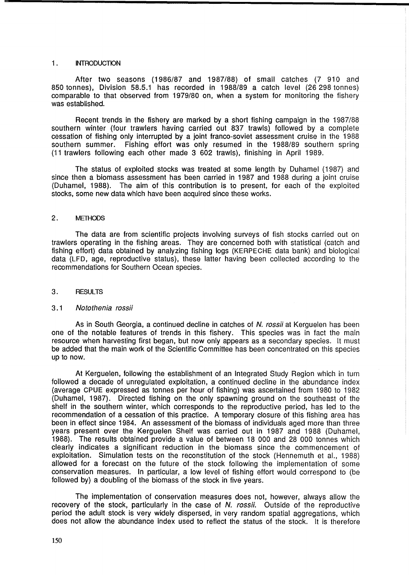## 1 . INTRODUCTION

After two seasons (1986/87 and 1987/88) of small catches (7 910 and 850 tonnes), Division 58.5.1 has recorded in 1988/89 a catch level (26 298 tonnes) comparable to that observed from 1979/80 on, when a system for monitoring the fishery was established.

Recent trends in the fishery are marked by a short fishing campaign in the 1987/88 southern winter (four trawlers having carried out 837 trawls) followed by a complete cessation of fishing only interrupted by a joint franco-soviet assessment cruise in the 1988 southern summer. Fishing effort was only resumed in the 1988/89 southern spring (11 trawlers following each other made 3 602 trawls), finishing in April 1989.

The status of exploited stocks was treated at some length by Duhamel (1987) and since then a biomass assessment has been carried in 1987 and 1988 during a joint cruise (Duhamel, 1988). The aim of this contribution is to present, for each of the exploited stocks, some new data which have been acquired since these works.

## 2. METHODS

The data are from scientific projects involving surveys of fish stocks carried out on trawlers operating in the fishing areas. They are concerned both with statistical (catch and fishing effort) data obtained by analyzing fishing logs (KERPECHE data bank) and biological data (LFD, age, reproductive status), these latter having been collected according to the recommendations for Southern Ocean species.

### 3. RESULTS

# 3.1 Notothenia rossii

As in South Georgia, a continued decline in catches of N. rossii at Kerguelen has been one of the notable features of trends in this fishery. This species was in fact the main resource when harvesting first began, but now only appears as a secondary species. It must be added that the main work of the Scientific Committee has been concentrated on this species up to now.

At Kerguelen, following the establishment of an Integrated Study Region which in turn followed a decade of unregulated exploitation, a continued decline in the abundance index (average CPUE expressed as tonnes per hour of fishing) was ascertained from 1980 to 1982 (Duhamel, 1987). Directed fishing on the only spawning ground on the southeast of the shelf in the southern winter, which corresponds to the reproductive period, has led to the recommendation of a cessation of this practice. A temporary closure of this fishing area has been in effect since 1984. An assessment of the biomass of individuals aged more than three years present over the Kerguelen Shelf was carried out in 1987 and 1988 (Duhamel, 1988). The results obtained provide a value of between 18 000 and 28 000 tonnes which clearly indicates a significant reduction in the biomass since the commencement of exploitation. Simulation tests on the reconstitution of the stock (Hennemuth et aI., 1988) allowed for a forecast on the future of the stock following the implementation of some conservation measures. In particular, a low level of fishing effort would correspond to (be followed by) a doubling of the biomass of the stock in five years.

The implementation of conservation measures does not, however, always allow the recovery of the stock, particularly in the case of N. rossii. Outside of the reproductive period the adult stock is very widely dispersed, in very random spatial aggregations, which does not allow the abundance index used to reflect the status of the stock. It is therefore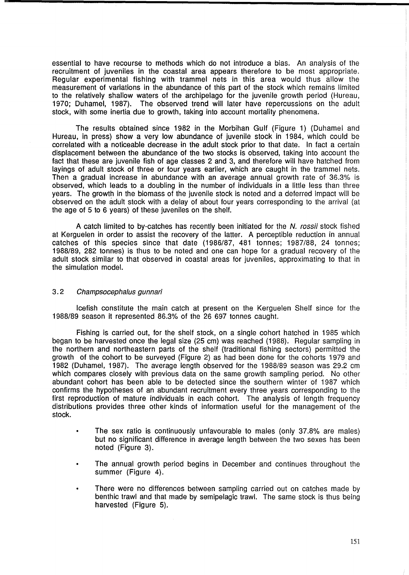essential to have recourse to methods which do not introduce a bias. An analysis of the recruitment of juveniles in the coastal area appears therefore to be most appropriate. Regular experimental fishing with trammel nets in this area would thus allow the measurement of variations in the abundance of this part of the stock which remains limited to the relatively shallow waters of the archipelago for the juvenile growth period (Hureau, 1970; Duhamel, 1987). The observed trend will later have repercussions on the adult stock, with some inertia due to growth, taking into account mortality phenomena.

The results obtained since 1982 in the Morbihan Gulf (Figure 1) (Duhamel and Hureau, in press) show a very low abundance of juvenile stock in 1984, which could be correlated with a noticeable decrease in the adult stock prior to that date. In fact a certain displacement between the abundance of the two stocks is observed, taking into account the fact that these are juvenile fish of age classes 2 and 3, and therefore will have hatched from layings of adult stock of three or four years earlier, which are caught in the trammel nets. Then a gradual increase in abundance with an average annual growth rate of 36.3% is observed, which leads to a doubling in the number of individuals in a little less than three years. The growth in the biomass of the juvenile stock is noted and a deferred impact will be observed on the adult stock with a delay of about four years corresponding to the arrival (at the age of 5 to 6 years) of these juveniles on the shelf.

A catch limited to by-catches has recently been initiated for the N. rossii stock fished at Kerguelen in order to assist the recovery of the latter. A perceptible reduction in annual catches of this species since that date (1986/87, 481 tonnes; 1987188, 24 tonnes; 1988/89, 282 tonnes) is thus to be noted and one can hope for a gradual recovery of the adult stock similar to that observed in coastal areas for juveniles, approximating to that in the simulation model.

#### 3.2 Champsocephalus gunnari

Icefish constitute the main catch at present on the Kerguelen Shelf since for the 1988/89 season it represented 86.3% of the 26 697 tonnes caught.

Fishing is carried out, for the shelf stock, on a single cohort hatched in 1985 which began to be harvested once the legal size (25 cm) was reached (1988). Regular sampling in the northern and northeastern parts of the shelf (traditional fishing sectors) permitted the growth of the cohort to be surveyed (Figure 2) as had been done for the cohorts 1979 and 1982 (Duhamel, 1987). The average length observed for the 1988/89 season was 29.2 cm which compares closely with previous data on the same growth sampling period. No other abundant cohort has been able to be detected since the southern winter of 1987 which confirms the hypotheses of an abundant recruitment every three years corresponding to the first reproduction of mature individuals in each cohort. The analysis of length frequency distributions provides three other kinds of information useful for the management of the stock.

- The sex ratio is continuously unfavourable to males (only 37.8% are males) but no significant difference in average length between the two sexes has been noted (Figure 3).
- The annual growth period begins in December and continues throughout the summer (Figure 4).
- There were no differences between sampling carried out on catches made by benthic trawl and that made by semipelagic trawl. The same stock is thus being harvested (Figure 5).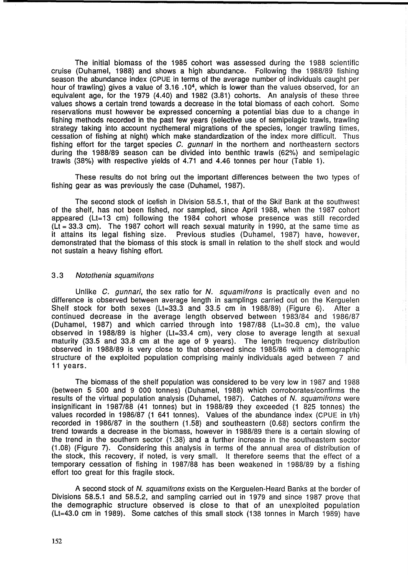The initial biomass of the 1985 cohort was assessed during the 1988 scientific cruise (Duhamel, 1988) and shows a high abundance. Following the 1988/89 fishing season the abundance index (CPUE in terms of the average number of individuals caught per hour of trawling) gives a value of 3.16 .10<sup>4</sup>, which is lower than the values observed, for an equivalent age, for the 1979 (4.40) and 1982 (3.81) cohorts. An analysis of these three values shows a certain trend towards a decrease in the total biomass of each cohort. Some reservations must however be expressed concerning a potential bias due to a change in fishing methods recorded in the past few years (selective use of semipelagic trawls, trawling strategy taking into account nycthemeral migrations of the species, longer trawling times, cessation of fishing at night) which make standardization of the index more difficult. Thus fishing effort for the target species C. gunnari in the northern and northeastern sectors during the 1988/89 season can be divided into benthic trawls (62%) and semipelagic trawls (38%) with respective yields of 4.71 and 4.46 tonnes per hour (Table 1).

These results do not bring out the important differences between the two types of fishing gear as was previously the case (Duhamel, 1987).

The second stock of icefish in Division 58.5.1, that of the Skif Bank at the southwest of the shelf, has not been fished, nor sampled, since April 1988, when the 1987 cohort appeared (Lt=13 cm) following the 1984 cohort whose presence was still recorded  $(Lt = 33.3 \text{ cm})$ . The 1987 cohort will reach sexual maturity in 1990, at the same time as it attains its legal fishing size. Previous studies (Duhamel, 1987) have, however, demonstrated that the biomass of this stock is small in relation to the shelf stock and would not sustain a heavy fishing effort.

## 3.3 Notothenia squamifrons

Unlike C. gunnari, the sex ratio for N. squamifrons is practically even and no difference is observed between average length in samplings carried out on the Kerguelen Shelf stock for both sexes (Lt=33.3 and 33.5 cm in 1988/89) (Figure 6). After a continued decrease in the average length observed between 1983/84 and 1986/87 (Duhamel, 1987) and which carried through into 1987/88 (Lt=30.8 cm), the value observed in 1988/89 is higher (Lt=33.4 cm), very close to average length at sexual maturity (33.5 and 33.8 cm at the age of 9 years). The length frequency distribution observed in 1988/89 is very close to that observed since 1985/86 with a demographic structure of the exploited population comprising mainly individuals aged between 7 and 11 years.

The biomass of the shelf population was considered to be very low in 1987 and 1988 (between 5 500 and 9 000 tonnes) (Duhamel, 1988) which corroborates/confirms the results of the virtual population analysis (Duhamel, 1987). Catches of N. squamifrons were insignificant in 1987/88 (41 tonnes) but in 1988/89 they exceeded (1 825 tonnes) the values recorded in 1986/87 (1 641 tonnes). Values of the abundance index (CPUE in Vh) recorded in 1986/87 in the southern (1.58) and southeastern (0.68) sectors confirm the trend towards a decrease in the biomass, however in 1988/89 there is a certain slowing of the trend in the southern sector (1.38) and a further increase in the southeastern sector (1.08) (Figure 7). Considering this analYSis in terms of the annual area of distribution of the stock, this recovery, if noted, is very small. It therefore seems that the effect of a temporary cessation of fishing in 1987/88 has been weakened in 1988/89 by a fishing effort too great for this fragile stock.

A second stock of N. squamifrons exists on the Kerguelen-Heard Banks at the border of Divisions 58.5.1 and 58.5.2, and sampling carried out in 1979 and since 1987 prove that the demographic structure observed is close to that of an unexploited population (Lt=43.0 cm in 1989). Some catches of this small stock (138 tonnes in March 1989) have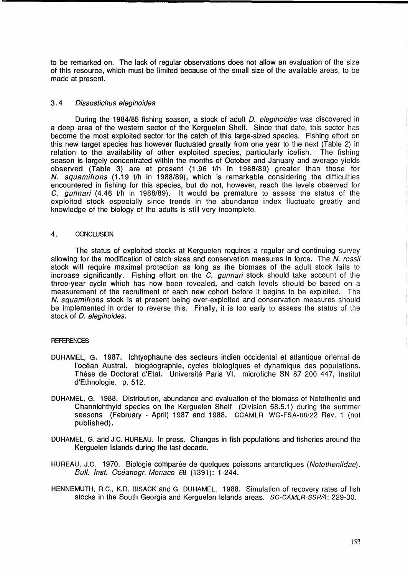to be remarked on. The lack of regular observations does not allow an evaluation of the size of this resource, which must be limited because of the small size of the available areas, to be made at present.

## 3.4 Dissostichus eleginoides

During the 1984/85 fishing season, a stock of adult *D. eleginoides* was discovered in a deep area of the western sector of the Kerguelen Shelf. Since that date, this sector has become the most exploited sector for the catch of this large-sized species. Fishing effort on this new target species has however fluctuated greatly from one year to the next (Table 2) in relation to the availability of other exploited species, particularly icefish. The fishing season is largely concentrated within the months of October and January and average yields observed (Table 3) are at present (1.96 t/h in 1988/89) greater than those for N. squamifrons (1.19 t/h in 1988/89), which is remarkable considering the difficulties encountered in fishing for this species, but do not, however, reach the levels observed for C. gunnari (4.46 t/h in 1988/89). It would be premature to assess the status of the exploited stock especially since trends in the abundance index fluctuate greatly and knowledge of the biology of the adults is still very incomplete.

#### 4. CONCLUSION

The status of exploited stocks at Kerguelen requires a regular and continuing survey allowing for the modification of catch sizes and conservation measures in force. The N. rossii stock will require maximal protection as long as the biomass of the adult stock fails to increase significantly. Fishing effort on the  $\overline{C}$ . *gunnari* stock should take account of the three-year cycle which has now been revealed, and catch levels should be based on a measurement of the recruitment of each new cohort before it begins to be exploited. The N. squamifrons stock is at present being over-exploited and conservation measures should be implemented in order to reverse this. Finally, it is too early to assess the status of the stock of D. eleginoides.

# **REFERENCES**

- DUHAMEL, G. 1987. Ichtyophaune des secteurs indien occidental et atlantique oriental de l'ocean Austral. biogeographie, cycles biologiques et dynamique des populations. These de Doctorat d'Etat. Universite Paris VI. microfiche SN 87 200 447, Institut d'Ethnologie. p. 512.
- DUHAMEL, G. 1988. Distribution, abundance and evaluation of the biomass of Nototheniid and Channichthyid species on the Kerguelen Shelf (Division 58.5.1) during the summer seasons (February - April) 1987 and 1988. CCAMLR WG-FSA-88/22 Rev. 1 (not published).
- DUHAMEL, G. and J.C. HUREAU. In press. Changes in fish populations and fisheries around the Kerguelen Islands during the last decade.
- HUREAU, J.C. 1970. Biologie comparée de quelques poissons antarctiques (Nototheniidae). BUll. Inst. Oceanogr. Monaco 68 (1391): 1-244.

HENNEMUTH, R.C., K.D. BISACK and G. DUHAMEL. 1988. Simulation of recovery rates of fish stocks in the South Georgia and Kerguelen Islands areas. SC-CAMLR-SSP/4: 229-30.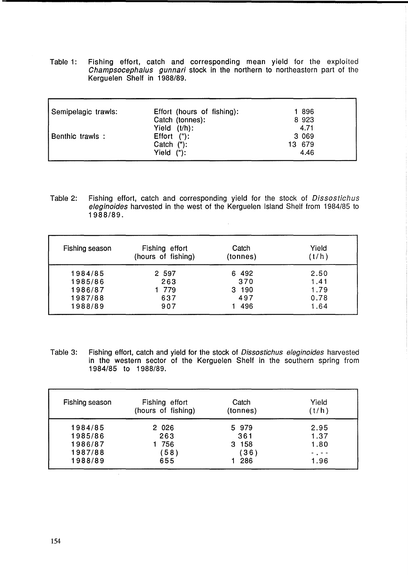Table 1: Fishing effort, catch and corresponding mean yield for the exploited Champsocephalus gunnari stock in the northern to northeastern part of the Kerguelen Shelf in 1988/89.

| Semipelagic trawls: | Effort (hours of fishing): | 1896    |
|---------------------|----------------------------|---------|
|                     | Catch (tonnes):            | 8923    |
|                     | Yield (t/h):               | 4.71    |
| Benthic trawls :    | Effort $('')$ :            | 3 0 6 9 |
|                     | Catch $(")$ :              | 13 679  |
|                     | Yield $('')$ :             | 4.46    |

Table 2: Fishing effort, catch and corresponding yield for the stock of Dissostichus eleginoides harvested in the west of the Kerguelen Island Shelf from 1984/85 to 1988/89.

| Fishing season | Fishing effort     | Catch    | Yield |
|----------------|--------------------|----------|-------|
|                | (hours of fishing) | (tonnes) | (t/h) |
| 1984/85        | 2 597              | 6 492    | 2.50  |
| 1985/86        | 263                | 370      | 1.41  |
| 1986/87        | 779                | 3 190    | 1.79  |
| 1987/88        | 637                | 497      | 0.78  |
| 1988/89        | 907                | 496      | 1.64  |

Table 3: Fishing effort, catch and yield for the stock of Dissostichus eleginoides harvested in the western sector of the Kerguelen Shelf in the southern spring from 1984/85 to 1988/89.

| Fishing season | Fishing effort<br>(hours of fishing) | Catch<br>(tonnes) | Yield<br>(t/h) |
|----------------|--------------------------------------|-------------------|----------------|
| 1984/85        | 2 0 2 6                              | 5 979             | 2.95           |
| 1985/86        | 263                                  | 361               | 1.37           |
| 1986/87        | 1 756                                | 158<br>3.         | 1.80           |
| 1987/88        | (58)                                 | (36)              | $  -$          |
| 1988/89        | 655                                  | 286               | 1.96           |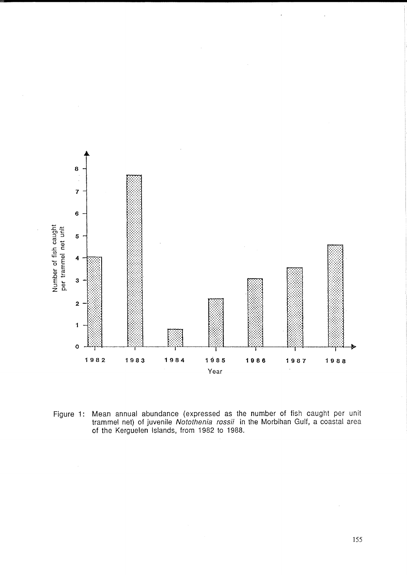

Figure 1: Mean annual abundance (expressed as the number of fish caught per unit trammel net) of juvenile Notothenia rossii in the Morbihan Gulf, a coastal area of the Kerguelen Islands, from 1982 to 1988.

155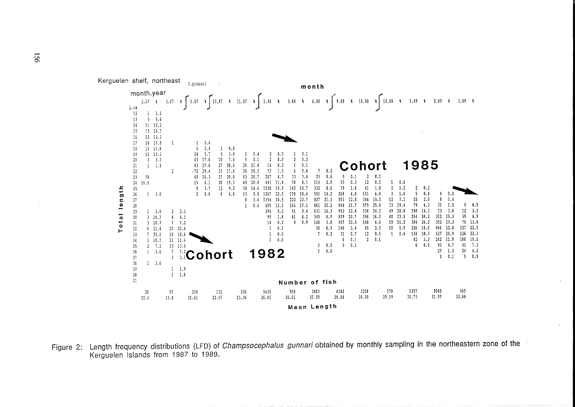

Figure 2: Length frequency distributions (LFD) of Champsocephalus gunnari obtained by monthly sampling in the northeastern zone of the Kerquelen Islands from 1987 to 1989.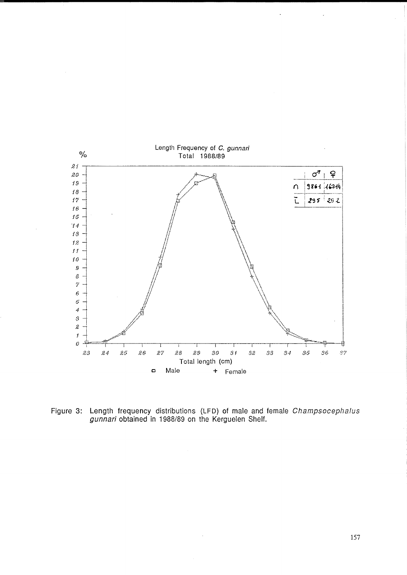

Figure 3: Length frequency distributions (LFD) of male and female *Champsocephalus gunnari* obtained in 1988/89 on the Kerguelen Shelf.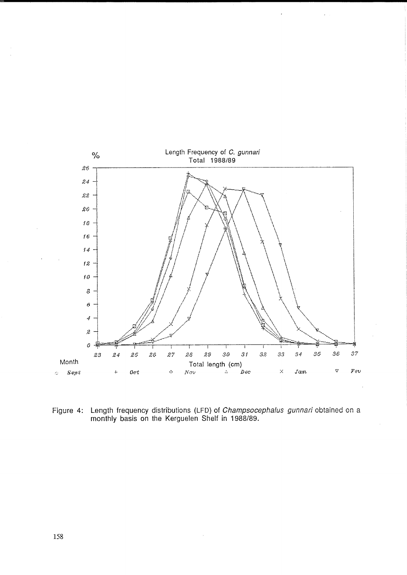

Figure 4: Length frequency distributions (LFD) of *Champsocephalus gunnari* obtained on a monthly basis on the Kerguelen Shelf in 1988/89.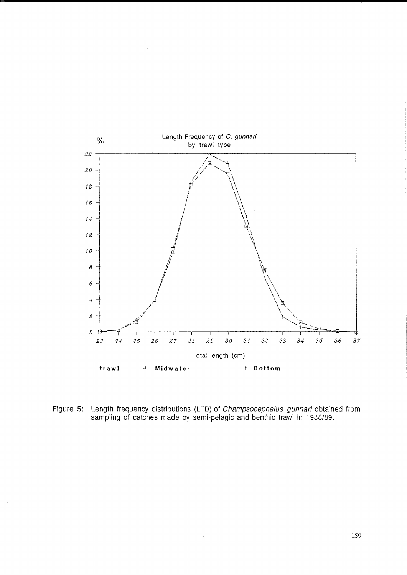

Figure 5: Length frequency distributions (LFD) of *Champsocephalus gunnari* obtained from sampling of catches made by semi-pelagic and benthic trawl in 1988/89.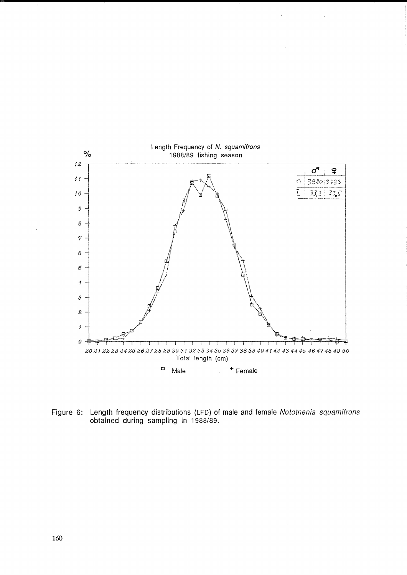

Figure 6: Length frequency distributions (LFD) of male and female Notothenia squamifrons obtained during sampling in 1988/89.